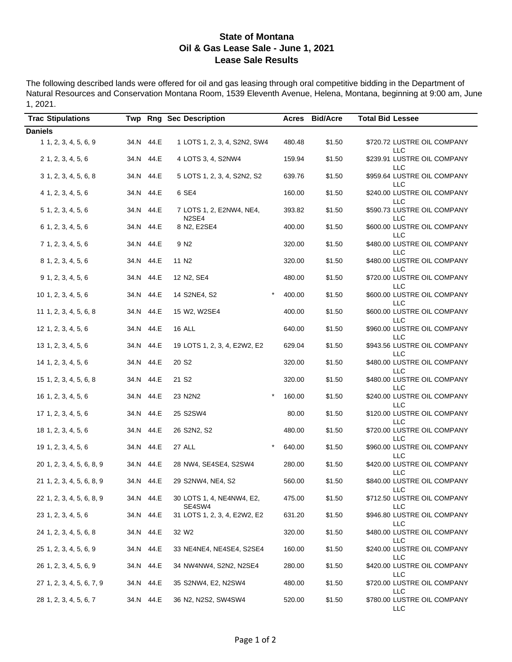#### **State of Montana Oil & Gas Lease Sale - June 1, 2021 Lease Sale Results**

The following described lands were offered for oil and gas leasing through oral competitive bidding in the Department of Natural Resources and Conservation Montana Room, 1539 Eleventh Avenue, Helena, Montana, beginning at 9:00 am, June 1, 2021.

| <b>Trac Stipulations</b>  |           | Twp Rng Sec Description                        |        | Acres Bid/Acre | <b>Total Bid Lessee</b>                   |
|---------------------------|-----------|------------------------------------------------|--------|----------------|-------------------------------------------|
| <b>Daniels</b>            |           |                                                |        |                |                                           |
| 1, 2, 3, 4, 5, 6, 9       | 34.N 44.E | 1 LOTS 1, 2, 3, 4, S2N2, SW4                   | 480.48 | \$1.50         | \$720.72 LUSTRE OIL COMPANY<br><b>LLC</b> |
| $2$ 1, 2, 3, 4, 5, 6      | 34.N 44.E | 4 LOTS 3, 4, S2NW4                             | 159.94 | \$1.50         | \$239.91 LUSTRE OIL COMPANY<br>LLC        |
| $3$ 1, 2, 3, 4, 5, 6, 8   | 34.N 44.E | 5 LOTS 1, 2, 3, 4, S2N2, S2                    | 639.76 | \$1.50         | \$959.64 LUSTRE OIL COMPANY<br><b>LLC</b> |
| 4 1, 2, 3, 4, 5, 6        | 34.N 44.E | 6 SE4                                          | 160.00 | \$1.50         | \$240.00 LUSTRE OIL COMPANY<br><b>LLC</b> |
| 5 1, 2, 3, 4, 5, 6        | 34.N 44.E | 7 LOTS 1, 2, E2NW4, NE4,<br>N <sub>2</sub> SE4 | 393.82 | \$1.50         | \$590.73 LUSTRE OIL COMPANY<br>LLC        |
| 6 1, 2, 3, 4, 5, 6        | 34.N 44.E | 8 N2, E2SE4                                    | 400.00 | \$1.50         | \$600.00 LUSTRE OIL COMPANY<br><b>LLC</b> |
| 7 1, 2, 3, 4, 5, 6        | 34.N 44.E | 9 N <sub>2</sub>                               | 320.00 | \$1.50         | \$480.00 LUSTRE OIL COMPANY<br><b>LLC</b> |
| 8 1, 2, 3, 4, 5, 6        | 34.N 44.E | 11 N <sub>2</sub>                              | 320.00 | \$1.50         | \$480.00 LUSTRE OIL COMPANY<br>LLC        |
| $9$ 1, 2, 3, 4, 5, 6      | 34.N 44.E | 12 N2, SE4                                     | 480.00 | \$1.50         | \$720.00 LUSTRE OIL COMPANY<br>LLC        |
| 10 1, 2, 3, 4, 5, 6       | 34.N 44.E | 14 S2NE4, S2                                   | 400.00 | \$1.50         | \$600.00 LUSTRE OIL COMPANY<br>LLC        |
| 11 1, 2, 3, 4, 5, 6, 8    | 34.N 44.E | 15 W2, W2SE4                                   | 400.00 | \$1.50         | \$600.00 LUSTRE OIL COMPANY<br>LLC        |
| 12 1, 2, 3, 4, 5, 6       | 34.N 44.E | 16 ALL                                         | 640.00 | \$1.50         | \$960.00 LUSTRE OIL COMPANY<br><b>LLC</b> |
| 13 1, 2, 3, 4, 5, 6       | 34.N 44.E | 19 LOTS 1, 2, 3, 4, E2W2, E2                   | 629.04 | \$1.50         | \$943.56 LUSTRE OIL COMPANY<br><b>LLC</b> |
| 14 1, 2, 3, 4, 5, 6       | 34.N 44.E | 20 S <sub>2</sub>                              | 320.00 | \$1.50         | \$480.00 LUSTRE OIL COMPANY<br><b>LLC</b> |
| 15 1, 2, 3, 4, 5, 6, 8    | 34.N 44.E | 21 S <sub>2</sub>                              | 320.00 | \$1.50         | \$480.00 LUSTRE OIL COMPANY<br>LLC        |
| 16 1, 2, 3, 4, 5, 6       | 34.N 44.E | $\star$<br>23 N2N2                             | 160.00 | \$1.50         | \$240.00 LUSTRE OIL COMPANY<br><b>LLC</b> |
| 17 1, 2, 3, 4, 5, 6       | 34.N 44.E | 25 S2SW4                                       | 80.00  | \$1.50         | \$120.00 LUSTRE OIL COMPANY<br><b>LLC</b> |
| 18 1, 2, 3, 4, 5, 6       | 34.N 44.E | 26 S2N2, S2                                    | 480.00 | \$1.50         | \$720.00 LUSTRE OIL COMPANY<br>LLC        |
| 19 1, 2, 3, 4, 5, 6       | 34.N 44.E | $\star$<br>27 ALL                              | 640.00 | \$1.50         | \$960.00 LUSTRE OIL COMPANY<br><b>LLC</b> |
| 20 1, 2, 3, 4, 5, 6, 8, 9 | 34.N 44.E | 28 NW4, SE4SE4, S2SW4                          | 280.00 | \$1.50         | \$420.00 LUSTRE OIL COMPANY<br><b>LLC</b> |
| 21 1, 2, 3, 4, 5, 6, 8, 9 | 34.N 44.E | 29 S2NW4, NE4, S2                              | 560.00 | \$1.50         | \$840.00 LUSTRE OIL COMPANY<br>LLC        |
| 22 1, 2, 3, 4, 5, 6, 8, 9 | 34.N 44.E | 30 LOTS 1, 4, NE4NW4, E2,<br>SE4SW4            | 475.00 | \$1.50         | \$712.50 LUSTRE OIL COMPANY<br>LLC        |
| 23 1, 2, 3, 4, 5, 6       | 34.N 44.E | 31 LOTS 1, 2, 3, 4, E2W2, E2                   | 631.20 | \$1.50         | \$946.80 LUSTRE OIL COMPANY<br>LLC        |
| 24 1, 2, 3, 4, 5, 6, 8    | 34.N 44.E | 32 W <sub>2</sub>                              | 320.00 | \$1.50         | \$480.00 LUSTRE OIL COMPANY<br>LLC        |
| 25 1, 2, 3, 4, 5, 6, 9    | 34.N 44.E | 33 NE4NE4, NE4SE4, S2SE4                       | 160.00 | \$1.50         | \$240.00 LUSTRE OIL COMPANY<br>LLC        |
| 26 1, 2, 3, 4, 5, 6, 9    | 34.N 44.E | 34 NW4NW4, S2N2, N2SE4                         | 280.00 | \$1.50         | \$420.00 LUSTRE OIL COMPANY<br>LLC        |
| 27 1, 2, 3, 4, 5, 6, 7, 9 | 34.N 44.E | 35 S2NW4, E2, N2SW4                            | 480.00 | \$1.50         | \$720.00 LUSTRE OIL COMPANY<br><b>LLC</b> |
| 28 1, 2, 3, 4, 5, 6, 7    | 34.N 44.E | 36 N2, N2S2, SW4SW4                            | 520.00 | \$1.50         | \$780.00 LUSTRE OIL COMPANY<br>LLC        |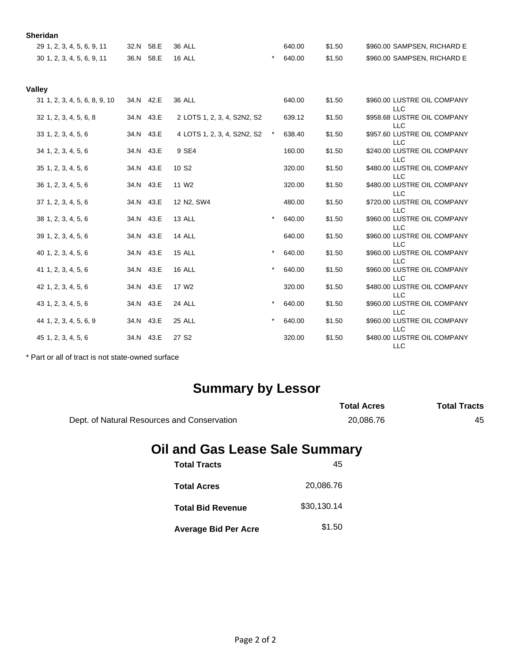| <b>Sheridan</b>               |           |                             |         |        |        |                                           |
|-------------------------------|-----------|-----------------------------|---------|--------|--------|-------------------------------------------|
| 29 1, 2, 3, 4, 5, 6, 9, 11    | 32.N 58.E | 36 ALL                      |         | 640.00 | \$1.50 | \$960.00 SAMPSEN, RICHARD E               |
| 30 1, 2, 3, 4, 5, 6, 9, 11    | 36.N 58.E | <b>16 ALL</b>               | $\star$ | 640.00 | \$1.50 | \$960.00 SAMPSEN, RICHARD E               |
| <b>Valley</b>                 |           |                             |         |        |        |                                           |
| 31 1, 2, 3, 4, 5, 6, 8, 9, 10 | 34.N 42.E | <b>36 ALL</b>               |         | 640.00 | \$1.50 | \$960.00 LUSTRE OIL COMPANY<br><b>LLC</b> |
| 32 1, 2, 3, 4, 5, 6, 8        | 34.N 43.E | 2 LOTS 1, 2, 3, 4, S2N2, S2 |         | 639.12 | \$1.50 | \$958.68 LUSTRE OIL COMPANY<br><b>LLC</b> |
| 33 1, 2, 3, 4, 5, 6           | 34.N 43.E | 4 LOTS 1, 2, 3, 4, S2N2, S2 |         | 638.40 | \$1.50 | \$957.60 LUSTRE OIL COMPANY<br><b>LLC</b> |
| 34 1, 2, 3, 4, 5, 6           | 34.N 43.E | 9 SE4                       |         | 160.00 | \$1.50 | \$240.00 LUSTRE OIL COMPANY<br><b>LLC</b> |
| 35 1, 2, 3, 4, 5, 6           | 34.N 43.E | 10 S <sub>2</sub>           |         | 320.00 | \$1.50 | \$480.00 LUSTRE OIL COMPANY<br><b>LLC</b> |
| 36 1, 2, 3, 4, 5, 6           | 34.N 43.E | 11 W <sub>2</sub>           |         | 320.00 | \$1.50 | \$480.00 LUSTRE OIL COMPANY<br><b>LLC</b> |
| 37 1, 2, 3, 4, 5, 6           | 34.N 43.E | 12 N2, SW4                  |         | 480.00 | \$1.50 | \$720.00 LUSTRE OIL COMPANY<br><b>LLC</b> |
| 38 1, 2, 3, 4, 5, 6           | 34.N 43.E | 13 ALL                      | $\star$ | 640.00 | \$1.50 | \$960.00 LUSTRE OIL COMPANY<br><b>LLC</b> |
| 39 1, 2, 3, 4, 5, 6           | 34.N 43.E | 14 ALL                      |         | 640.00 | \$1.50 | \$960.00 LUSTRE OIL COMPANY<br><b>LLC</b> |
| 40 1, 2, 3, 4, 5, 6           | 34.N 43.E | <b>15 ALL</b>               | $\star$ | 640.00 | \$1.50 | \$960.00 LUSTRE OIL COMPANY<br><b>LLC</b> |
| 41 1, 2, 3, 4, 5, 6           | 34.N 43.E | <b>16 ALL</b>               | $\star$ | 640.00 | \$1.50 | \$960.00 LUSTRE OIL COMPANY<br><b>LLC</b> |
| 42 1, 2, 3, 4, 5, 6           | 34.N 43.E | 17 W <sub>2</sub>           |         | 320.00 | \$1.50 | \$480.00 LUSTRE OIL COMPANY<br><b>LLC</b> |
| 43 1, 2, 3, 4, 5, 6           | 34.N 43.E | 24 ALL                      | $\star$ | 640.00 | \$1.50 | \$960.00 LUSTRE OIL COMPANY<br><b>LLC</b> |
| 44 1, 2, 3, 4, 5, 6, 9        | 34.N 43.E | 25 ALL                      | $\star$ | 640.00 | \$1.50 | \$960.00 LUSTRE OIL COMPANY<br><b>LLC</b> |
| 45 1, 2, 3, 4, 5, 6           | 34.N 43.E | 27 S <sub>2</sub>           |         | 320.00 | \$1.50 | \$480.00 LUSTRE OIL COMPANY<br><b>LLC</b> |

\* Part or all of tract is not state-owned surface

## **Summary by Lessor**

|                                             | <b>Total Acres</b> | <b>Total Tracts</b> |
|---------------------------------------------|--------------------|---------------------|
| Dept. of Natural Resources and Conservation | 20.086.76          | 45                  |

# **Oil and Gas Lease Sale Summary**

| <b>Total Tracts</b>         | 45          |
|-----------------------------|-------------|
| <b>Total Acres</b>          | 20,086.76   |
| <b>Total Bid Revenue</b>    | \$30,130.14 |
| <b>Average Bid Per Acre</b> | \$1.50      |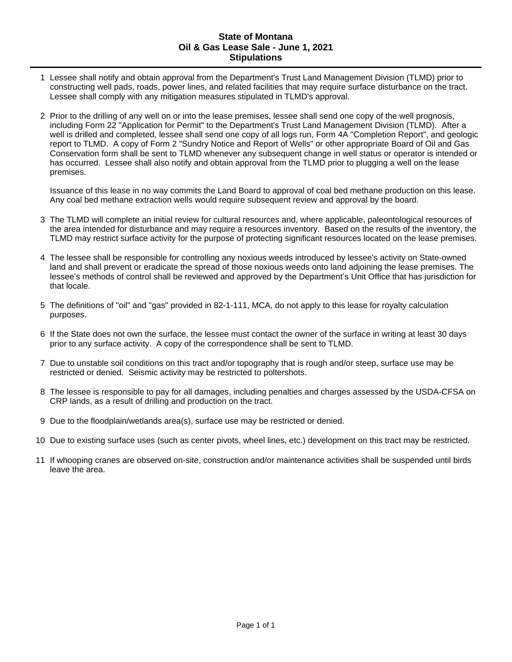#### **State of Montana Oil & Gas Lease Sale - June 1, 2021 Stipulations**

- 1 Lessee shall notify and obtain approval from the Department's Trust Land Management Division (TLMD) prior to constructing well pads, roads, power lines, and related facilities that may require surface disturbance on the tract. Lessee shall comply with any mitigation measures stipulated in TLMD's approval.
- 2 Prior to the drilling of any well on or into the lease premises, lessee shall send one copy of the well prognosis, including Form 22 "Application for Permit" to the Department's Trust Land Management Division (TLMD). After a well is drilled and completed, lessee shall send one copy of all logs run, Form 4A "Completion Report", and geologic report to TLMD. A copy of Form 2 "Sundry Notice and Report of Wells" or other appropriate Board of Oil and Gas Conservation form shall be sent to TLMD whenever any subsequent change in well status or operator is intended or has occurred. Lessee shall also notify and obtain approval from the TLMD prior to plugging a well on the lease premises.

Issuance of this lease in no way commits the Land Board to approval of coal bed methane production on this lease. Any coal bed methane extraction wells would require subsequent review and approval by the board.

- 3 The TLMD will complete an initial review for cultural resources and, where applicable, paleontological resources of the area intended for disturbance and may require a resources inventory. Based on the results of the inventory, the TLMD may restrict surface activity for the purpose of protecting significant resources located on the lease premises.
- 4 The lessee shall be responsible for controlling any noxious weeds introduced by lessee's activity on State-owned land and shall prevent or eradicate the spread of those noxious weeds onto land adjoining the lease premises. The lessee's methods of control shall be reviewed and approved by the Department's Unit Office that has jurisdiction for that locale.
- 5 The definitions of "oil" and "gas" provided in 82-1-111, MCA, do not apply to this lease for royalty calculation purposes.
- 6 If the State does not own the surface, the lessee must contact the owner of the surface in writing at least 30 days prior to any surface activity. A copy of the correspondence shall be sent to TLMD.
- 7 Due to unstable soil conditions on this tract and/or topography that is rough and/or steep, surface use may be restricted or denied. Seismic activity may be restricted to poltershots.
- 8 The lessee is responsible to pay for all damages, including penalties and charges assessed by the USDA-CFSA on CRP lands, as a result of drilling and production on the tract.
- 9 Due to the floodplain/wetlands area(s), surface use may be restricted or denied.
- 10 Due to existing surface uses (such as center pivots, wheel lines, etc.) development on this tract may be restricted.
- 11 If whooping cranes are observed on-site, construction and/or maintenance activities shall be suspended until birds leave the area.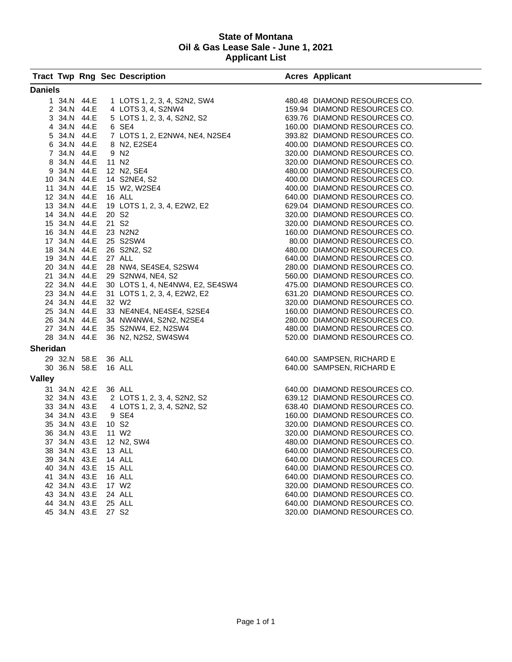#### **State of Montana Oil & Gas Lease Sale - June 1, 2021 Applicant List**

|                 |                     |      | <b>Tract Twp Rng Sec Description</b>                                                                                                                                                                                                           | <b>Acres Applicant</b>       |
|-----------------|---------------------|------|------------------------------------------------------------------------------------------------------------------------------------------------------------------------------------------------------------------------------------------------|------------------------------|
| <b>Daniels</b>  |                     |      |                                                                                                                                                                                                                                                |                              |
|                 | 1 34.N 44.E         |      |                                                                                                                                                                                                                                                |                              |
|                 | 2 34.N 44.E         |      | 1 LOTS 1, 2, 3, 4, S2N2, SW4<br>480.48 DIAMOND RESOURCES CO.<br>4 LOTS 3, 4, S2NW4<br>5 LOTS 1, 2, 3, 4, S2N2, S2<br>5 CE4<br>5 CE4<br>480.48 DIAMOND RESOURCES CO.<br>5 CE4                                                                   |                              |
|                 |                     |      |                                                                                                                                                                                                                                                |                              |
|                 |                     |      |                                                                                                                                                                                                                                                |                              |
|                 |                     |      |                                                                                                                                                                                                                                                |                              |
|                 |                     |      |                                                                                                                                                                                                                                                |                              |
|                 |                     |      |                                                                                                                                                                                                                                                |                              |
|                 |                     |      |                                                                                                                                                                                                                                                |                              |
|                 |                     |      |                                                                                                                                                                                                                                                |                              |
|                 |                     |      |                                                                                                                                                                                                                                                |                              |
|                 |                     |      |                                                                                                                                                                                                                                                |                              |
|                 |                     |      |                                                                                                                                                                                                                                                |                              |
|                 |                     |      |                                                                                                                                                                                                                                                |                              |
|                 |                     |      |                                                                                                                                                                                                                                                |                              |
|                 |                     |      |                                                                                                                                                                                                                                                |                              |
|                 |                     |      |                                                                                                                                                                                                                                                |                              |
|                 |                     |      |                                                                                                                                                                                                                                                |                              |
|                 |                     |      |                                                                                                                                                                                                                                                |                              |
|                 |                     |      |                                                                                                                                                                                                                                                |                              |
|                 |                     |      |                                                                                                                                                                                                                                                |                              |
|                 |                     |      |                                                                                                                                                                                                                                                |                              |
|                 |                     |      |                                                                                                                                                                                                                                                |                              |
|                 |                     |      |                                                                                                                                                                                                                                                |                              |
|                 |                     |      |                                                                                                                                                                                                                                                |                              |
|                 |                     |      |                                                                                                                                                                                                                                                |                              |
|                 |                     |      |                                                                                                                                                                                                                                                | 280.00 DIAMOND RESOURCES CO. |
|                 |                     |      |                                                                                                                                                                                                                                                | 480.00 DIAMOND RESOURCES CO. |
|                 |                     |      | 24 34.N 44.E 32 W2<br>25 34.N 44.E 33 NE4NE4, NE4SE4, S2SE4<br>26 34.N 44.E 34 NW4NW4, S2N2, N2SE4<br>27 34.N 44.E 35 S2NW4, E2, N2SW4<br>28 34.N 44.E 36 N2, N2S2, SW4SW4                                                                     | 520.00 DIAMOND RESOURCES CO. |
| <b>Sheridan</b> |                     |      |                                                                                                                                                                                                                                                |                              |
|                 | 29 32.N 58.E 36 ALL |      |                                                                                                                                                                                                                                                | 640.00 SAMPSEN, RICHARD E    |
|                 | 30 36.N 58.E 16 ALL |      |                                                                                                                                                                                                                                                | 640.00 SAMPSEN, RICHARD E    |
| <b>Valley</b>   |                     |      |                                                                                                                                                                                                                                                |                              |
|                 |                     |      | 31 34.N 42.E 36 ALL<br>32 34.N 43.E 2 LOTS 1, 2, 3, 4, S2N2, S2<br>33 34.N 43.E 4 LOTS 1, 2, 3, 4, S2N2, S2<br>34 34.N 43.E 9 SE4<br>36 34.N 43.E 10 S2<br>36 34.N 43.E 11 W2<br>36 34.N 43.E 11 W2<br>37 34.N 43.E 12 N2, SW4<br>38 34.N 43.E |                              |
|                 |                     |      |                                                                                                                                                                                                                                                |                              |
|                 |                     |      |                                                                                                                                                                                                                                                |                              |
|                 |                     |      |                                                                                                                                                                                                                                                |                              |
|                 |                     |      |                                                                                                                                                                                                                                                |                              |
|                 |                     |      |                                                                                                                                                                                                                                                |                              |
|                 |                     |      |                                                                                                                                                                                                                                                |                              |
|                 | 38 34.N 43.E        |      | 13 ALL                                                                                                                                                                                                                                         | 640.00 DIAMOND RESOURCES CO. |
|                 | 39 34.N             | 43.E | 14 ALL                                                                                                                                                                                                                                         | 640.00 DIAMOND RESOURCES CO. |
|                 | 40 34.N             | 43.E | 15 ALL                                                                                                                                                                                                                                         | 640.00 DIAMOND RESOURCES CO. |
|                 | 41 34.N 43.E        |      | 16 ALL                                                                                                                                                                                                                                         | 640.00 DIAMOND RESOURCES CO. |
|                 | 42 34.N             | 43.E | 17 W <sub>2</sub>                                                                                                                                                                                                                              | 320.00 DIAMOND RESOURCES CO. |
|                 | 43 34.N             | 43.E | 24 ALL                                                                                                                                                                                                                                         | 640.00 DIAMOND RESOURCES CO. |
|                 | 44 34.N             | 43.E | 25 ALL                                                                                                                                                                                                                                         | 640.00 DIAMOND RESOURCES CO. |
|                 | 45 34.N 43.E        |      | 27 S <sub>2</sub>                                                                                                                                                                                                                              | 320.00 DIAMOND RESOURCES CO. |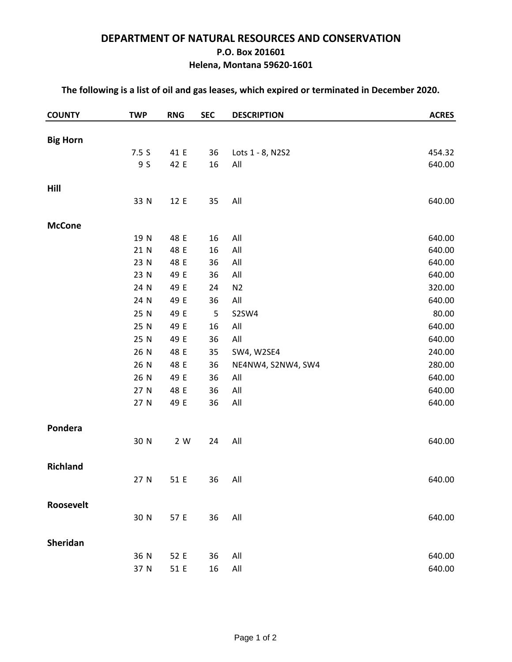## **DEPARTMENT OF NATURAL RESOURCES AND CONSERVATION P.O. Box 201601 Helena, Montana 59620-1601**

| <b>COUNTY</b>   | <b>TWP</b> | <b>RNG</b> | <b>SEC</b> | <b>DESCRIPTION</b> | <b>ACRES</b> |
|-----------------|------------|------------|------------|--------------------|--------------|
|                 |            |            |            |                    |              |
| <b>Big Horn</b> | 7.5S       | 41 E       | 36         | Lots 1 - 8, N2S2   | 454.32       |
|                 | 9 S        | 42 E       | 16         | All                | 640.00       |
|                 |            |            |            |                    |              |
| Hill            |            |            |            |                    |              |
|                 | 33 N       | 12 E       | 35         | All                | 640.00       |
|                 |            |            |            |                    |              |
| <b>McCone</b>   |            |            |            |                    |              |
|                 | 19 N       | 48 E       | 16         | All                | 640.00       |
|                 | 21 N       | 48 E       | 16         | All                | 640.00       |
|                 | 23 N       | 48 E       | 36         | $\mathsf{All}$     | 640.00       |
|                 | 23 N       | 49 E       | 36         | All                | 640.00       |
|                 | 24 N       | 49 E       | 24         | N <sub>2</sub>     | 320.00       |
|                 | 24 N       | 49 E       | 36         | $\mathsf{All}$     | 640.00       |
|                 | 25 N       | 49 E       | 5          | S2SW4              | 80.00        |
|                 | 25 N       | 49 E       | 16         | All                | 640.00       |
|                 | 25 N       | 49 E       | 36         | All                | 640.00       |
|                 | 26 N       | 48 E       | 35         | SW4, W2SE4         | 240.00       |
|                 | 26 N       | 48 E       | 36         | NE4NW4, S2NW4, SW4 | 280.00       |
|                 | 26 N       | 49 E       | 36         | All                | 640.00       |
|                 | 27 N       | 48 E       | 36         | $\mathsf{All}$     | 640.00       |
|                 | 27 N       | 49 E       | 36         | All                | 640.00       |
|                 |            |            |            |                    |              |
| Pondera         |            |            |            |                    |              |
|                 | 30 N       | 2 W        | 24         | All                | 640.00       |
| <b>Richland</b> |            |            |            |                    |              |
|                 | 27 N       | 51 E       | 36         | All                | 640.00       |
|                 |            |            |            |                    |              |
| Roosevelt       |            |            |            |                    |              |
|                 | 30 N       | 57 E       | 36         | All                | 640.00       |
| Sheridan        |            |            |            |                    |              |
|                 | 36 N       | 52 E       | 36         | All                | 640.00       |
|                 | 37 N       | 51 E       | 16         | All                | 640.00       |

### **The following is a list of oil and gas leases, which expired or terminated in December 2020.**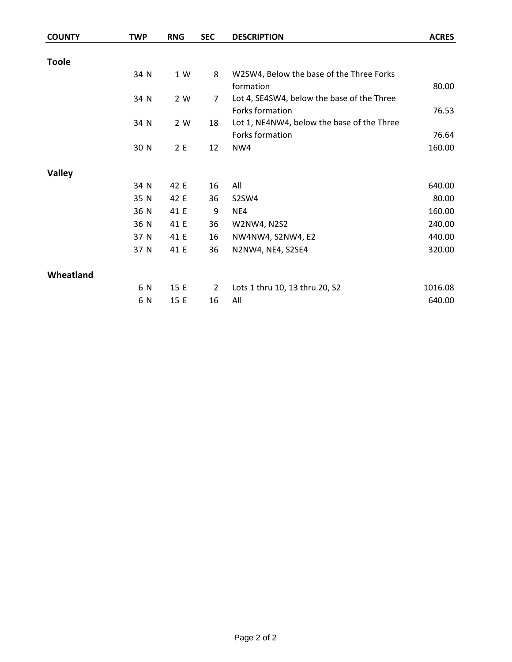| <b>COUNTY</b> | <b>TWP</b> | <b>RNG</b> | <b>SEC</b>     | <b>DESCRIPTION</b>                         | <b>ACRES</b> |
|---------------|------------|------------|----------------|--------------------------------------------|--------------|
|               |            |            |                |                                            |              |
| <b>Toole</b>  |            |            |                |                                            |              |
|               | 34 N       | 1 W        | 8              | W2SW4, Below the base of the Three Forks   |              |
|               |            |            |                | formation                                  | 80.00        |
|               | 34 N       | 2 W        | 7              | Lot 4, SE4SW4, below the base of the Three |              |
|               |            |            |                | Forks formation                            | 76.53        |
|               | 34 N       | 2 W        | 18             | Lot 1, NE4NW4, below the base of the Three |              |
|               |            |            |                | Forks formation                            | 76.64        |
|               | 30 N       | 2E         | 12             | NW4                                        | 160.00       |
|               |            |            |                |                                            |              |
| <b>Valley</b> |            |            |                |                                            |              |
|               | 34 N       | 42 E       | 16             | All                                        | 640.00       |
|               | 35 N       | 42 E       | 36             | S2SW4                                      | 80.00        |
|               | 36 N       | 41 E       | 9              | NE4                                        | 160.00       |
|               | 36 N       | 41 E       | 36             | W2NW4, N2S2                                | 240.00       |
|               | 37 N       | 41 E       | 16             | NW4NW4, S2NW4, E2                          | 440.00       |
|               | 37 N       | 41 E       | 36             | N2NW4, NE4, S2SE4                          | 320.00       |
|               |            |            |                |                                            |              |
| Wheatland     |            |            |                |                                            |              |
|               | 6 N        | 15 E       | $\overline{2}$ | Lots 1 thru 10, 13 thru 20, S2             | 1016.08      |
|               | 6 N        | 15 E       | 16             | All                                        | 640.00       |